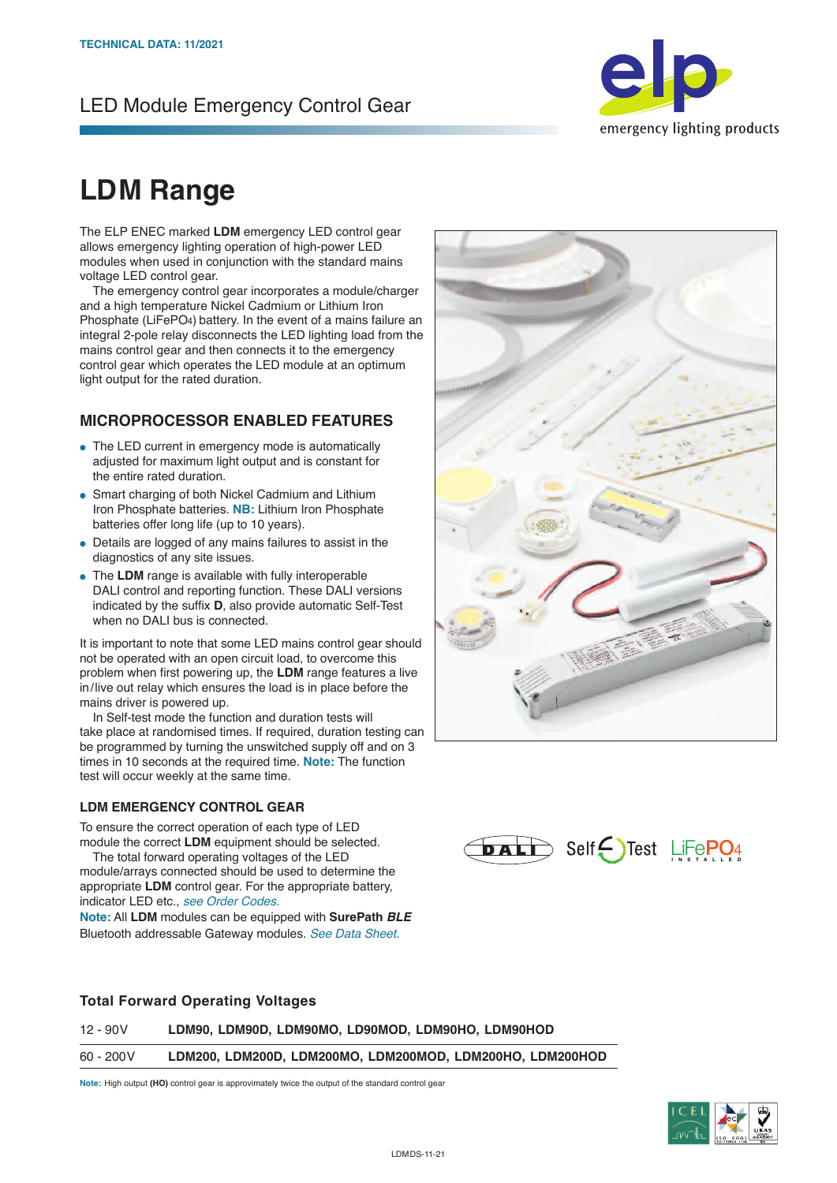## LED Module Emergency Control Gear



# **LDM Range**

The ELP ENEC marked **LDM** emergency LED control gear allows emergency lighting operation of high-power LED modules when used in conjunction with the standard mains voltage LED control gear.

 The emergency control gear incorporates a module/charger and a high temperature Nickel Cadmium or Lithium Iron Phosphate (LiFePO4) battery. In the event of a mains failure an integral 2-pole relay disconnects the LED lighting load from the mains control gear and then connects it to the emergency control gear which operates the LED module at an optimum light output for the rated duration.

#### **MICROPROCESSOR ENABLED FEATURES**

- The LED current in emergency mode is automatically adjusted for maximum light output and is constant for the entire rated duration.
- Smart charging of both Nickel Cadmium and Lithium Iron Phosphate batteries. **NB:** Lithium Iron Phosphate batteries offer long life (up to 10 years).
- Details are logged of any mains failures to assist in the diagnostics of any site issues.
- **.** The LDM range is available with fully interoperable DALI control and reporting function. These DALI versions indicated by the suffix **D**, also provide automatic Self-Test when no DALI bus is connected.

It is important to note that some LED mains control gear should not be operated with an open circuit load, to overcome this problem when first powering up, the **LDM** range features a live in/live out relay which ensures the load is in place before the mains driver is powered up.

 In Self-test mode the function and duration tests will take place at randomised times. If required, duration testing can be programmed by turning the unswitched supply off and on 3 times in 10 seconds at the required time. **Note:** The function test will occur weekly at the same time.

#### **LDM EMERGENCY CONTROL GEAR**

To ensure the correct operation of each type of LED module the correct **LDM** equipment should be selected.

 The total forward operating voltages of the LED module/arrays connected should be used to determine the appropriate **LDM** control gear. For the appropriate battery, indicator LED etc., *see Order Codes.*

**Note:** All **LDM** modules can be equipped with **SurePath** *BLE* Bluetooth addressable Gateway modules. *See Data Sheet.*





#### **Total Forward Operating Voltages**

| 12 - 90V   | LDM90, LDM90D, LDM90MO, LD90MOD, LDM90HO, LDM90HOD        |  |
|------------|-----------------------------------------------------------|--|
| 60 - 200 V | LDM200. LDM200D. LDM200MO. LDM200MOD. LDM200HO. LDM200HOD |  |

**Note:** High output **(HO)** control gear is approvimately twice the output of the standard control gear

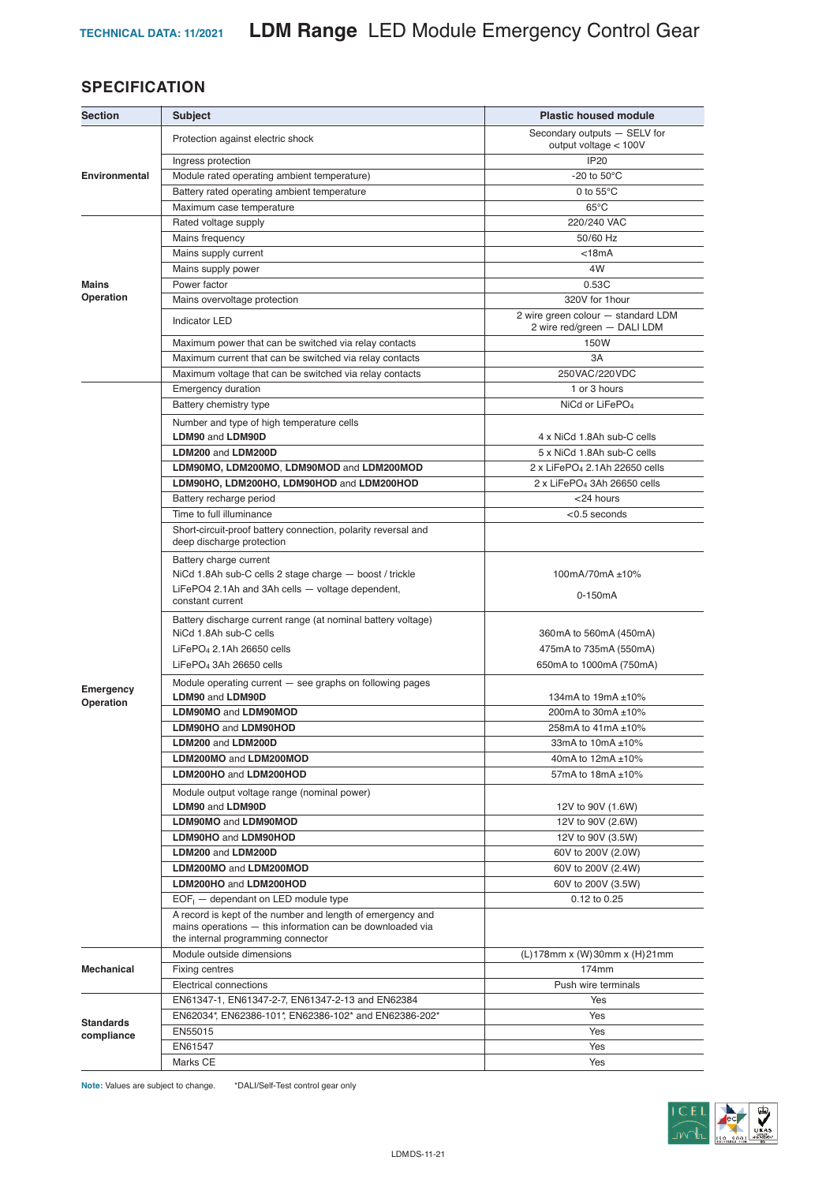### **SPECIFICATION**

| <b>Section</b>         | <b>Subject</b>                                                                                                                                                | <b>Plastic housed module</b>                                      |
|------------------------|---------------------------------------------------------------------------------------------------------------------------------------------------------------|-------------------------------------------------------------------|
| <b>Environmental</b>   | Protection against electric shock                                                                                                                             | Secondary outputs - SELV for<br>output voltage < 100V             |
|                        | Ingress protection                                                                                                                                            | <b>IP20</b>                                                       |
|                        | Module rated operating ambient temperature)                                                                                                                   | -20 to $50^{\circ}$ C                                             |
|                        | Battery rated operating ambient temperature                                                                                                                   | 0 to $55^{\circ}$ C                                               |
|                        | Maximum case temperature                                                                                                                                      | $65^{\circ}$ C                                                    |
|                        | Rated voltage supply                                                                                                                                          | 220/240 VAC                                                       |
|                        | Mains frequency                                                                                                                                               | 50/60 Hz                                                          |
|                        | Mains supply current                                                                                                                                          | $<$ 18 $mA$                                                       |
|                        | Mains supply power                                                                                                                                            | 4W                                                                |
| <b>Mains</b>           | Power factor                                                                                                                                                  | 0.53C                                                             |
| Operation              | Mains overvoltage protection                                                                                                                                  | 320V for 1hour                                                    |
|                        | <b>Indicator LED</b>                                                                                                                                          | 2 wire green colour - standard LDM<br>2 wire red/green - DALI LDM |
|                        | Maximum power that can be switched via relay contacts                                                                                                         | 150W                                                              |
|                        | Maximum current that can be switched via relay contacts                                                                                                       | 3A                                                                |
|                        | Maximum voltage that can be switched via relay contacts                                                                                                       | 250VAC/220VDC                                                     |
|                        | <b>Emergency duration</b>                                                                                                                                     | 1 or 3 hours                                                      |
|                        | Battery chemistry type                                                                                                                                        | NiCd or LiFePO <sub>4</sub>                                       |
|                        | Number and type of high temperature cells                                                                                                                     |                                                                   |
|                        | LDM90 and LDM90D                                                                                                                                              | 4 x NiCd 1.8Ah sub-C cells                                        |
|                        | LDM200 and LDM200D                                                                                                                                            | 5 x NiCd 1.8Ah sub-C cells                                        |
|                        | LDM90MO, LDM200MO, LDM90MOD and LDM200MOD                                                                                                                     | 2 x LiFePO <sub>4</sub> 2.1Ah 22650 cells                         |
|                        | LDM90HO, LDM200HO, LDM90HOD and LDM200HOD                                                                                                                     | 2 x LiFePO <sub>4</sub> 3Ah 26650 cells                           |
|                        | Battery recharge period                                                                                                                                       | <24 hours                                                         |
|                        | Time to full illuminance                                                                                                                                      | $<$ 0.5 seconds                                                   |
|                        | Short-circuit-proof battery connection, polarity reversal and<br>deep discharge protection                                                                    |                                                                   |
|                        | Battery charge current<br>NiCd 1.8Ah sub-C cells 2 stage charge - boost / trickle<br>LiFePO4 2.1Ah and 3Ah cells - voltage dependent,                         | 100mA/70mA ±10%<br>0-150mA                                        |
|                        | constant current                                                                                                                                              |                                                                   |
|                        | Battery discharge current range (at nominal battery voltage)                                                                                                  |                                                                   |
|                        | NiCd 1.8Ah sub-C cells                                                                                                                                        | 360mA to 560mA (450mA)                                            |
|                        | LiFePO <sub>4</sub> 2.1Ah 26650 cells                                                                                                                         | 475mA to 735mA (550mA)                                            |
|                        | LiFePO <sub>4</sub> 3Ah 26650 cells                                                                                                                           | 650mA to 1000mA (750mA)                                           |
| Emergency<br>Operation | Module operating current $-$ see graphs on following pages<br>LDM90 and LDM90D                                                                                | 134mA to 19mA ±10%                                                |
|                        | <b>LDM90MO and LDM90MOD</b>                                                                                                                                   | 200mA to 30mA ±10%                                                |
|                        | <b>LDM90HO and LDM90HOD</b>                                                                                                                                   | 258mA to 41mA ±10%                                                |
|                        | LDM200 and LDM200D                                                                                                                                            | 33mA to 10mA ±10%                                                 |
|                        | LDM200MO and LDM200MOD                                                                                                                                        | 40mA to 12mA ±10%                                                 |
|                        | LDM200HO and LDM200HOD                                                                                                                                        | 57mA to 18mA ±10%                                                 |
|                        | Module output voltage range (nominal power)<br>LDM90 and LDM90D                                                                                               | 12V to 90V (1.6W)                                                 |
|                        | LDM90MO and LDM90MOD                                                                                                                                          | 12V to 90V (2.6W)                                                 |
|                        | LDM90HO and LDM90HOD                                                                                                                                          | 12V to 90V (3.5W)                                                 |
|                        | LDM200 and LDM200D                                                                                                                                            | 60V to 200V (2.0W)                                                |
|                        | LDM200MO and LDM200MOD                                                                                                                                        | 60V to 200V (2.4W)                                                |
|                        | LDM200HO and LDM200HOD                                                                                                                                        | 60V to 200V (3.5W)                                                |
|                        | $EOF1$ - dependant on LED module type                                                                                                                         | 0.12 to 0.25                                                      |
|                        | A record is kept of the number and length of emergency and<br>mains operations - this information can be downloaded via<br>the internal programming connector |                                                                   |
| Mechanical             | Module outside dimensions                                                                                                                                     | (L)178mm x (W)30mm x (H)21mm                                      |
|                        | Fixing centres                                                                                                                                                | 174mm                                                             |
|                        | Electrical connections                                                                                                                                        | Push wire terminals                                               |
|                        | EN61347-1, EN61347-2-7, EN61347-2-13 and EN62384                                                                                                              | Yes                                                               |
| <b>Standards</b>       | EN62034*, EN62386-101*, EN62386-102* and EN62386-202*                                                                                                         | Yes                                                               |
| compliance             | EN55015                                                                                                                                                       | Yes                                                               |
|                        | EN61547                                                                                                                                                       | Yes                                                               |
|                        | Marks CE                                                                                                                                                      | Yes                                                               |

**Note:** Values are subject to change. \*DALI/Self-Test control gear only

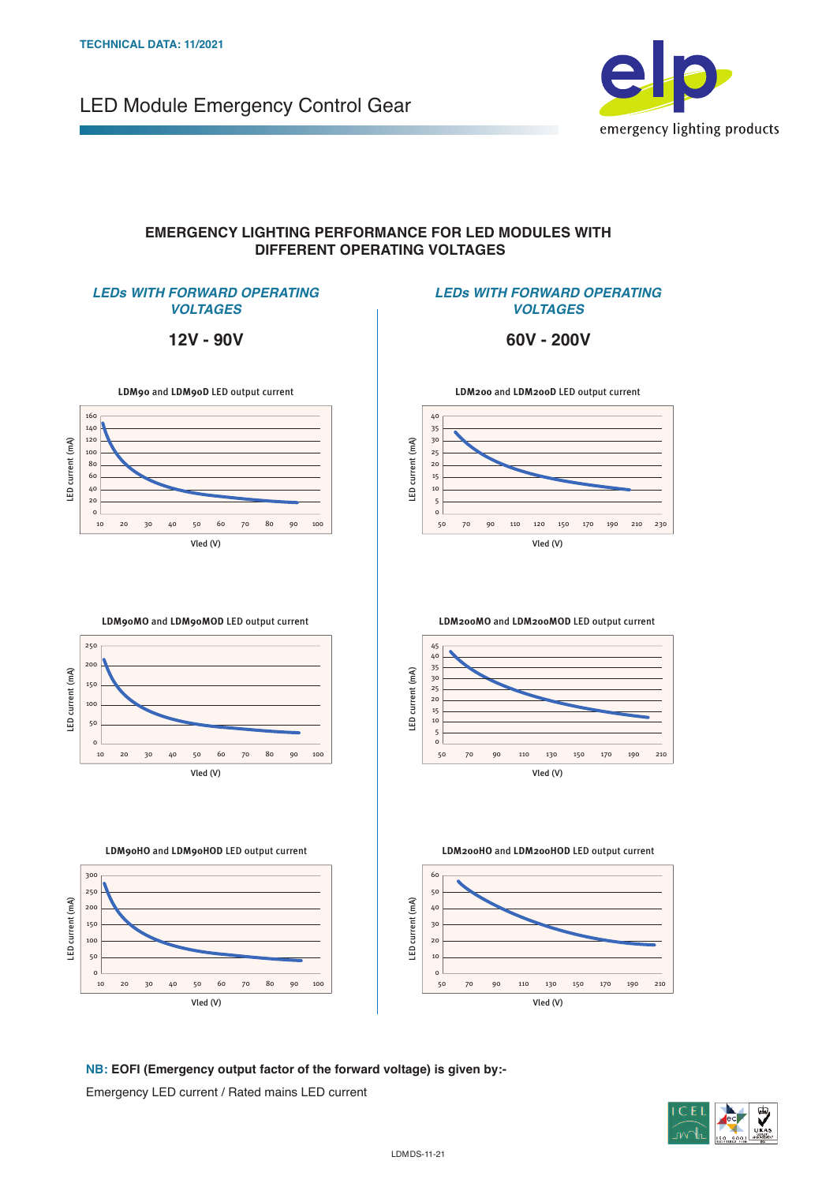LED Module Emergency Control Gear



#### **EMERGENCY LIGHTING PERFORMANCE FOR LED MODULES WITH DIFFERENT OPERATING VOLTAGES**

LED current (mA)

LED current (mA)

LED current (mA)

LED current (mA)

#### *LEDs WITH FORWARD OPERATING VOLTAGES*

**12V - 90V**

#### *LEDs WITH FORWARD OPERATING VOLTAGES*

**60V - 200V**

**LDM200** and **LDM200D** LED output current

50 70 90 110 120 150 170 190 210 230

Vled (V)

**LDM200MO** and **LDM200MOD** LED output current



**LDM90MO** and **LDM90MOD** LED output current









50 70 90 110 130 150 170 190 210



**NB: EOFI (Emergency output factor of the forward voltage) is given by:-**

Emergency LED current / Rated mains LED current